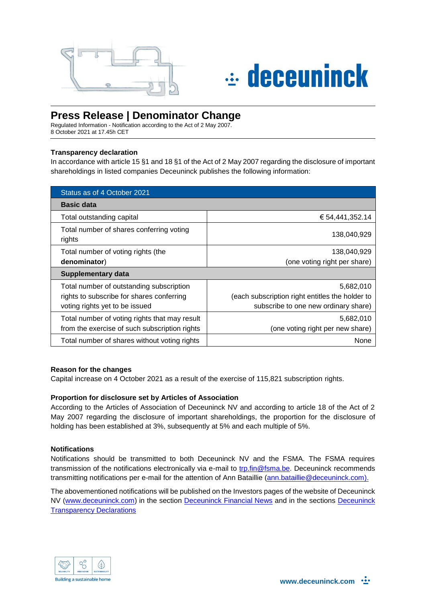

# $\div$  deceuninck

## **Press Release | Denominator Change**

Regulated Information - Notification according to the Act of 2 May 2007. 8 October 2021 at 17.45h CET

#### **Transparency declaration**

In accordance with article 15 §1 and 18 §1 of the Act of 2 May 2007 regarding the disclosure of important shareholdings in listed companies Deceuninck publishes the following information:

| Status as of 4 October 2021                        |                                                 |
|----------------------------------------------------|-------------------------------------------------|
| <b>Basic data</b>                                  |                                                 |
| Total outstanding capital                          | € 54,441,352.14                                 |
| Total number of shares conferring voting<br>rights | 138,040,929                                     |
| Total number of voting rights (the                 | 138,040,929                                     |
| denominator)                                       | (one voting right per share)                    |
| <b>Supplementary data</b>                          |                                                 |
| Total number of outstanding subscription           | 5,682,010                                       |
| rights to subscribe for shares conferring          | (each subscription right entitles the holder to |
| voting rights yet to be issued                     | subscribe to one new ordinary share)            |
| Total number of voting rights that may result      | 5,682,010                                       |
| from the exercise of such subscription rights      | (one voting right per new share)                |
| Total number of shares without voting rights       | None                                            |

#### **Reason for the changes**

Capital increase on 4 October 2021 as a result of the exercise of 115,821 subscription rights.

### **Proportion for disclosure set by Articles of Association**

According to the Articles of Association of Deceuninck NV and according to article 18 of the Act of 2 May 2007 regarding the disclosure of important shareholdings, the proportion for the disclosure of holding has been established at 3%, subsequently at 5% and each multiple of 5%.

#### **Notifications**

Notifications should be transmitted to both Deceuninck NV and the FSMA. The FSMA requires transmission of the notifications electronically via e-mail to [trp.fin@fsma.be.](mailto:trp.fin@fsma.be) Deceuninck recommends transmitting notifications per e-mail for the attention of Ann Bataillie [\(ann.bataillie@deceuninck.com\)](mailto:ann.bataillie@deceuninck.com).

The abovementioned notifications will be published on the Investors pages of the website of Deceuninck NV [\(www.deceuninck.com\)](http://www.deceuninck.com/) in the section [Deceuninck Financial News](http://www.deceuninck.com/en/press-releases.aspx?year=2014) and in the sections [Deceuninck](http://www.deceuninck.com/en/transparency-declarations.aspx)  [Transparency Declarations](http://www.deceuninck.com/en/transparency-declarations.aspx)